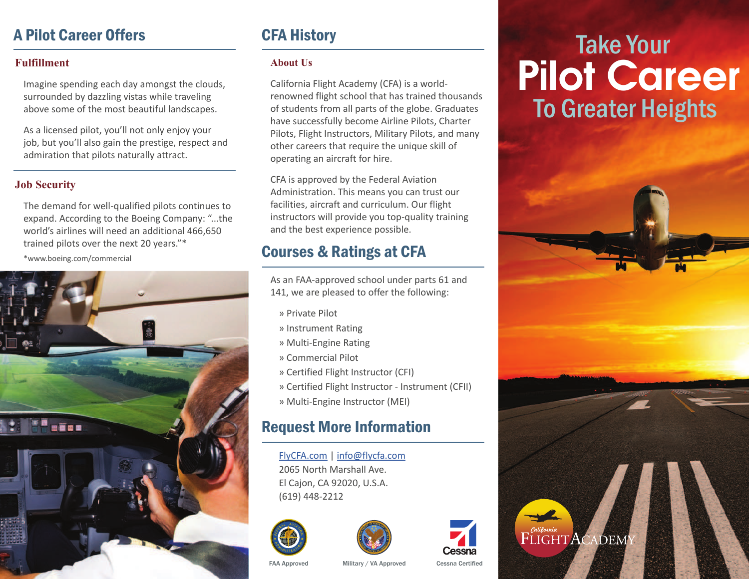### A Pilot Career Offers CFA History

### **Fulfillment**

Imagine spending each day amongst the clouds, surrounded by dazzling vistas while traveling above some of the most beautiful landscapes.

As a licensed pilot, you'll not only enjoy your job, but you'll also gain the prestige, respect and admiration that pilots naturally attract.

### **Job Security**

The demand for well-qualified pilots continues to expand. According to the Boeing Company: "...the world's airlines will need an additional 466,650 trained pilots over the next 20 years."\*

\*www.boeing.com/commercial



### **About Us**

California Flight Academy (CFA) is a worldrenowned flight school that has trained thousands of students from all parts of the globe. Graduates have successfully become Airline Pilots, Charter Pilots, Flight Instructors, Military Pilots, and many other careers that require the unique skill of operating an aircraft for hire.

CFA is approved by the Federal Aviation Administration. This means you can trust our facilities, aircraft and curriculum. Our flight instructors will provide you top-quality training and the best experience possible.

### Courses & Ratings at CFA

As an FAA-approved school under parts 61 and 141, we are pleased to offer the following:

- » Private Pilot
- » Instrument Rating
- » Multi-Engine Rating
- » Commercial Pilot
- » Certified Flight Instructor (CFI)
- » Certified Flight Instructor Instrument (CFII)
- » Multi-Engine Instructor (MEI)

### Request More Information

[FlyCFA.com](http://FlyCFA.com) | [info@flycfa.com](http://info@flycfa.com) 2065 North Marshall Ave. El Cajon, CA 92020, U.S.A. (619) 448-2212







# Take Your To Greater Heights Pilot Career



FAA Approved Military / VA Approved Cessna Certified